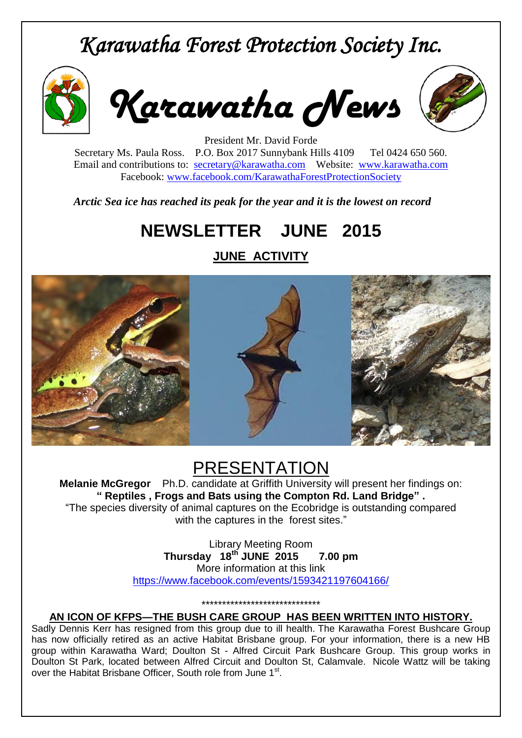# *Karawatha Forest Protection Society Inc.*



*Karawatha News*



President Mr. David Forde Secretary Ms. Paula Ross. P.O. Box 2017 Sunnybank Hills 4109 Tel 0424 650 560. Email and contributions to: [secretary@karawatha.com](mailto:secretary@karawatha.com) Website: [www.karawatha.com](http://www.karawatha.com/) Facebook: [www.facebook.com/KarawathaForestProtectionSociety](http://www.facebook.com/KarawathaForestProtectionSociety)

*Arctic Sea ice has reached its peak for the year and it is the lowest on record*

## **NEWSLETTER JUNE 2015**

**JUNE ACTIVITY**



## PRESENTATION

**Melanie McGregor** Ph.D. candidate at Griffith University will present her findings on: **" Reptiles , Frogs and Bats using the Compton Rd. Land Bridge" .** "The species diversity of animal captures on the Ecobridge is outstanding compared with the captures in the forest sites."

> Library Meeting Room **Thursday 18th JUNE 2015 7.00 pm** More information at this link <https://www.facebook.com/events/1593421197604166/>

> > \*\*\*\*\*\*\*\*\*\*\*\*\*\*\*\*\*\*\*\*\*\*\*\*\*\*\*\*\*

**AN ICON OF KFPS—THE BUSH CARE GROUP HAS BEEN WRITTEN INTO HISTORY.**

Sadly Dennis Kerr has resigned from this group due to ill health. The Karawatha Forest Bushcare Group has now officially retired as an active Habitat Brisbane group. For your information, there is a new HB group within Karawatha Ward; Doulton St - Alfred Circuit Park Bushcare Group. This group works in Doulton St Park, located between Alfred Circuit and Doulton St, Calamvale. Nicole Wattz will be taking over the Habitat Brisbane Officer, South role from June 1st.